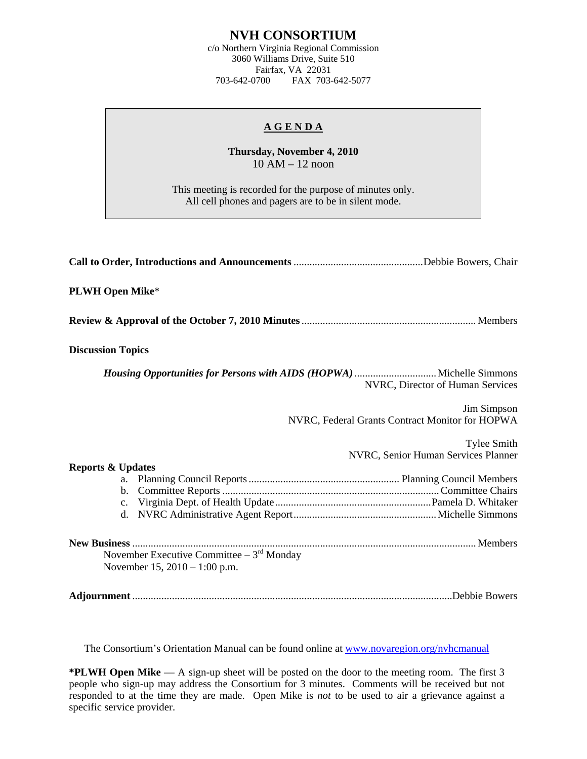## **NVH CONSORTIUM**

c/o Northern Virginia Regional Commission 3060 Williams Drive, Suite 510 Fairfax, VA 22031 703-642-0700 FAX 703-642-5077

## **A G E N D A**

**Thursday, November 4, 2010**  10 AM – 12 noon

This meeting is recorded for the purpose of minutes only. All cell phones and pagers are to be in silent mode.

| <b>PLWH Open Mike*</b>                                                         |                                                                |
|--------------------------------------------------------------------------------|----------------------------------------------------------------|
|                                                                                |                                                                |
| <b>Discussion Topics</b>                                                       |                                                                |
|                                                                                | NVRC, Director of Human Services                               |
|                                                                                | Jim Simpson<br>NVRC, Federal Grants Contract Monitor for HOPWA |
|                                                                                | <b>Tylee Smith</b><br>NVRC, Senior Human Services Planner      |
| <b>Reports &amp; Updates</b><br>a.<br>$\mathbf b$ .                            |                                                                |
| November Executive Committee $-3^{rd}$ Monday<br>November 15, 2010 – 1:00 p.m. |                                                                |
|                                                                                |                                                                |

The Consortium's Orientation Manual can be found online at [www.novaregion.org/nvhcmanual](http://www.novaregion.org/nvhcmanual)

**\*PLWH Open Mike** — A sign-up sheet will be posted on the door to the meeting room. The first 3 people who sign-up may address the Consortium for 3 minutes. Comments will be received but not responded to at the time they are made. Open Mike is *not* to be used to air a grievance against a specific service provider.